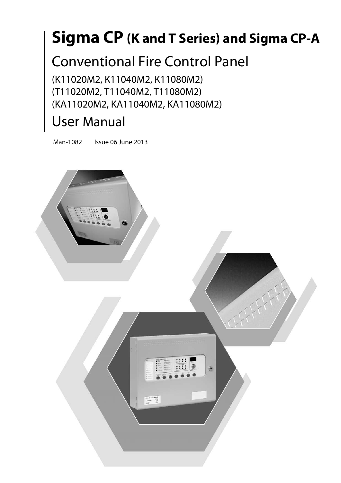# **Sigma CP (K and T Series) and Sigma CP-A**

## Conventional Fire Control Panel

(K11020M2, K11040M2, K11080M2) (T11020M2, T11040M2, T11080M2) (KA11020M2, KA11040M2, KA11080M2)

## User Manual

Man-1082 Issue 06 June 2013

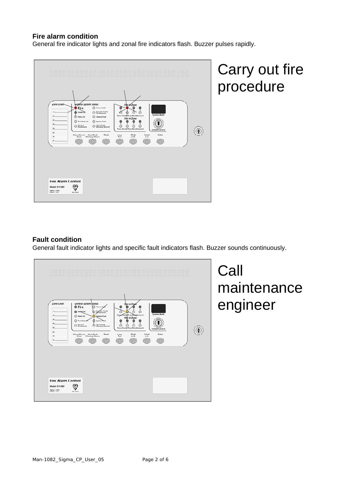### **Fire alarm condition**

General fire indicator lights and zonal fire indicators flash. Buzzer pulses rapidly.



# Carry out fire procedure

### **Fault condition**

General fault indicator lights and specific fault indicators flash. Buzzer sounds continuously.

| Zone Chart<br>General System Status<br>Fire In Zopt<br><b>O</b> Fire<br>Power Fay<br>Sounder Fault/<br>Power On<br>C<br>О<br>Disblement<br><b>System Mode</b><br>Zone Fault/Test/Disablement<br>z<br>Delay On<br>General Fault<br>Fine In Zone<br>Test Mode on<br>System Fault<br>$\bullet$<br>$\overline{ }$<br>s<br>$\cdot$<br>$\sim$<br>Alarm/Fault<br>Warning Silenced<br>General<br>Disablement<br>đ.<br>$\circ$<br>$\circ$<br>$\circ$<br>$\circ$<br>5V<br>Zone Fault/Test/Disablement<br><b>Enable Control</b><br>61<br>Mode<br>Select<br>Enter<br>Silence/Sound Alarm/Eault<br>Reset<br>Lamp<br>フリ<br><b>Warning Silence</b><br>Test<br>Alarm<br>$[+10]$<br>$[+1]$<br>a L |  |
|----------------------------------------------------------------------------------------------------------------------------------------------------------------------------------------------------------------------------------------------------------------------------------------------------------------------------------------------------------------------------------------------------------------------------------------------------------------------------------------------------------------------------------------------------------------------------------------------------------------------------------------------------------------------------------|--|
| <b>Fire Alarm Control</b><br>₩<br>Model: K11080<br>EN54-2 : 1997/<br><b>KM 73505</b>                                                                                                                                                                                                                                                                                                                                                                                                                                                                                                                                                                                             |  |

**Call** maintenance engineer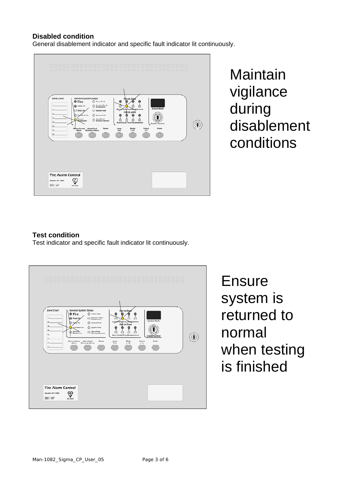#### **Disabled condition**

General disablement indicator and specific fault indicator lit continuously.



**Maintain** vigilance during disablement conditions

### **Test condition**

Test indicator and specific fault indicator lit continuously.

| 000000000000<br>Zone Chart<br><b>General System Status</b><br><b>D</b> Fire<br>O Power Fault<br>Sounder Fault/<br>н١<br>Power On<br>Disablement<br>$2\sqrt{ }$<br>Delay On<br>General Fault<br>35<br>Test Mode On<br><b>System Fault</b><br>4<br><b>Alann/Fault</b><br>General .<br>Ο<br>Disablement<br><b>Warning Silenced</b><br>5I<br>不<br>Reset<br>Silence/Sound Alerm/Fault<br><b>Warning Silence</b><br>٠<br>Alarm<br>$\mathbf{a}$ | 000000000000000000000000000000000000<br>nnnnnnnnnnnnnn<br>n n<br>Fire In Zone<br>÷<br><b>System Mode</b><br>Zone Fault/Test/Disablement<br>Fire In Zone<br>Œ<br>s<br>$\overline{\phantom{a}}$<br>8<br>О<br>Ω<br>Ο<br>O<br>Zone Fault/Test/Disablement<br><b>Enable Control</b><br>Mode<br>Select<br>Enter<br>Lamp<br>Test<br>$[+10]$<br>$(+1)$ |
|------------------------------------------------------------------------------------------------------------------------------------------------------------------------------------------------------------------------------------------------------------------------------------------------------------------------------------------------------------------------------------------------------------------------------------------|------------------------------------------------------------------------------------------------------------------------------------------------------------------------------------------------------------------------------------------------------------------------------------------------------------------------------------------------|
| <b>Fire Alarm Control</b><br>Model: K11080<br>ENS4.2 : 1997/<br>ENS44 : 1997<br><b>KM 73505</b>                                                                                                                                                                                                                                                                                                                                          |                                                                                                                                                                                                                                                                                                                                                |

Ensure system is returned to normal when testing is finished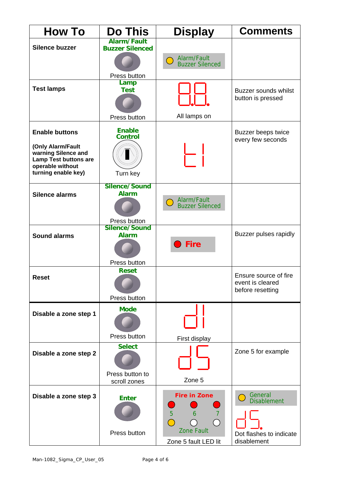| <b>How To</b>                                    | <b>Do This</b>                               | <b>Display</b>                        | <b>Comments</b>                      |
|--------------------------------------------------|----------------------------------------------|---------------------------------------|--------------------------------------|
| <b>Silence buzzer</b>                            | <b>Alarm/Fault</b><br><b>Buzzer Silenced</b> |                                       |                                      |
|                                                  |                                              | Alarm/Fault<br><b>Buzzer Silenced</b> |                                      |
|                                                  | Press button                                 |                                       |                                      |
| <b>Test lamps</b>                                | Lamp<br><b>Test</b>                          |                                       | <b>Buzzer sounds whilst</b>          |
|                                                  |                                              |                                       | button is pressed                    |
|                                                  | Press button                                 | All lamps on                          |                                      |
| <b>Enable buttons</b>                            | <b>Enable</b>                                |                                       | <b>Buzzer beeps twice</b>            |
|                                                  | <b>Control</b>                               |                                       | every few seconds                    |
| (Only Alarm/Fault<br>warning Silence and         |                                              |                                       |                                      |
| <b>Lamp Test buttons are</b><br>operable without |                                              |                                       |                                      |
| turning enable key)                              | Turn key<br>Silence/Sound                    |                                       |                                      |
| <b>Silence alarms</b>                            | <b>Alarm</b>                                 |                                       |                                      |
|                                                  |                                              | Alarm/Fault<br><b>Buzzer Silenced</b> |                                      |
|                                                  | Press button                                 |                                       |                                      |
| <b>Sound alarms</b>                              | Silence/Sound<br><b>Alarm</b>                |                                       | Buzzer pulses rapidly                |
|                                                  |                                              | <b>Fire</b>                           |                                      |
|                                                  | Press button                                 |                                       |                                      |
| <b>Reset</b>                                     | <b>Reset</b>                                 |                                       | Ensure source of fire                |
|                                                  |                                              |                                       | event is cleared<br>before resetting |
|                                                  | Press button                                 |                                       |                                      |
| Disable a zone step 1                            | <b>Mode</b>                                  |                                       |                                      |
|                                                  |                                              |                                       |                                      |
|                                                  | Press button                                 | First display                         |                                      |
| Disable a zone step 2                            | <b>Select</b>                                |                                       | Zone 5 for example                   |
|                                                  |                                              |                                       |                                      |
|                                                  | Press button to<br>scroll zones              | Zone 5                                |                                      |
| Disable a zone step 3                            | <b>Enter</b>                                 | <b>Fire in Zone</b>                   | General                              |
|                                                  |                                              | 5<br>$\overline{7}$<br>6              | <b>Disablement</b>                   |
|                                                  |                                              |                                       |                                      |
|                                                  | Press button                                 | <b>Zone Fault</b>                     | Dot flashes to indicate              |
|                                                  |                                              | Zone 5 fault LED lit                  | disablement                          |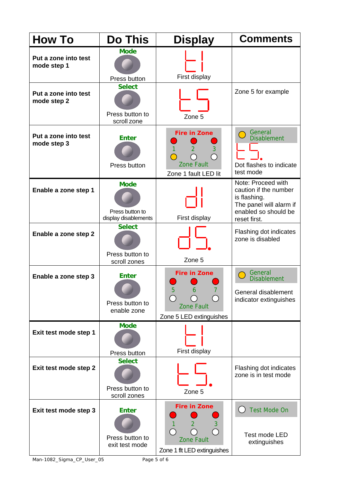| <b>How To</b>                       | <b>Do This</b>                                         | <b>Display</b>                                                                                 | <b>Comments</b>                                                                                                                |
|-------------------------------------|--------------------------------------------------------|------------------------------------------------------------------------------------------------|--------------------------------------------------------------------------------------------------------------------------------|
| Put a zone into test<br>mode step 1 | <b>Mode</b><br>Press button                            | First display                                                                                  |                                                                                                                                |
| Put a zone into test<br>mode step 2 | <b>Select</b><br>Press button to<br>scroll zone        | Zone 5                                                                                         | Zone 5 for example                                                                                                             |
| Put a zone into test<br>mode step 3 | <b>Enter</b><br>Press button                           | <b>Fire in Zone</b><br>$\overline{2}$<br>3<br><b>Zone Fault</b><br>Zone 1 fault LED lit        | General<br><b>Disablement</b><br>Dot flashes to indicate<br>test mode                                                          |
| Enable a zone step 1                | <b>Mode</b><br>Press button to<br>display disablements | First display                                                                                  | Note: Proceed with<br>caution if the number<br>is flashing.<br>The panel will alarm if<br>enabled so should be<br>reset first. |
| Enable a zone step 2                | <b>Select</b><br>Press button to<br>scroll zones       | Zone 5                                                                                         | Flashing dot indicates<br>zone is disabled                                                                                     |
| Enable a zone step 3                | <b>Enter</b><br>Press button to<br>enable zone         | <b>Fire in Zone</b><br>ხ<br>6<br><b>Zone Fault</b><br>Zone 5 LED extinguishes                  | General<br>$\sqrt{2}$<br><b>Disablement</b><br>General disablement<br>indicator extinguishes                                   |
| Exit test mode step 1               | <b>Mode</b><br>Press button                            | First display                                                                                  |                                                                                                                                |
| Exit test mode step 2               | <b>Select</b><br>Press button to<br>scroll zones       | Zone 5                                                                                         | Flashing dot indicates<br>zone is in test mode                                                                                 |
| Exit test mode step 3               | <b>Enter</b><br>Press button to<br>exit test mode      | <b>Fire in Zone</b><br>$\overline{2}$<br>3<br><b>Zone Fault</b><br>Zone 1 flt LED extinguishes | <b>Test Mode On</b><br>Test mode LED<br>extinguishes                                                                           |

Man-1082\_Sigma\_CP\_User\_05 Page 5 of 6